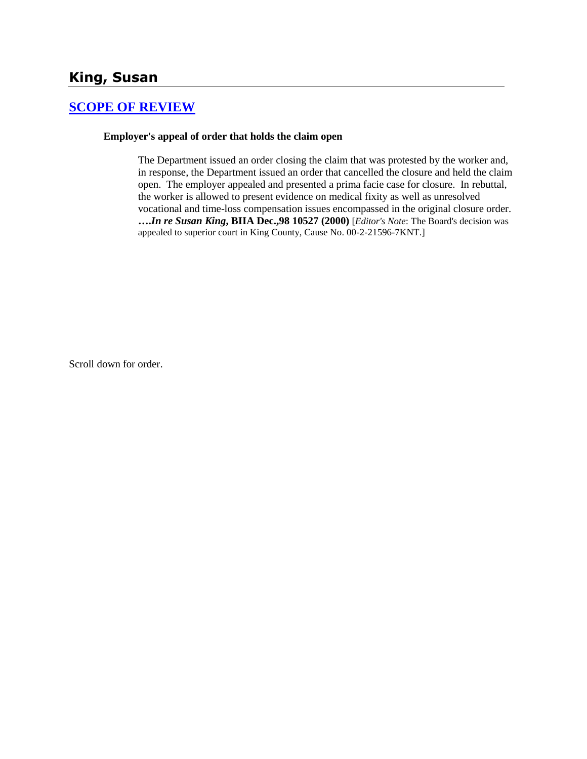## **King, Susan**

# **[SCOPE OF REVIEW](http://www.biia.wa.gov/SDSubjectIndex.html#SCOPE_OF_REVIEW)**

#### **Employer's appeal of order that holds the claim open**

The Department issued an order closing the claim that was protested by the worker and, in response, the Department issued an order that cancelled the closure and held the claim open. The employer appealed and presented a prima facie case for closure. In rebuttal, the worker is allowed to present evidence on medical fixity as well as unresolved vocational and time-loss compensation issues encompassed in the original closure order. **….***In re Susan King***, BIIA Dec.,98 10527 (2000)** [*Editor's Note*: The Board's decision was appealed to superior court in King County, Cause No. 00-2-21596-7KNT.]

Scroll down for order.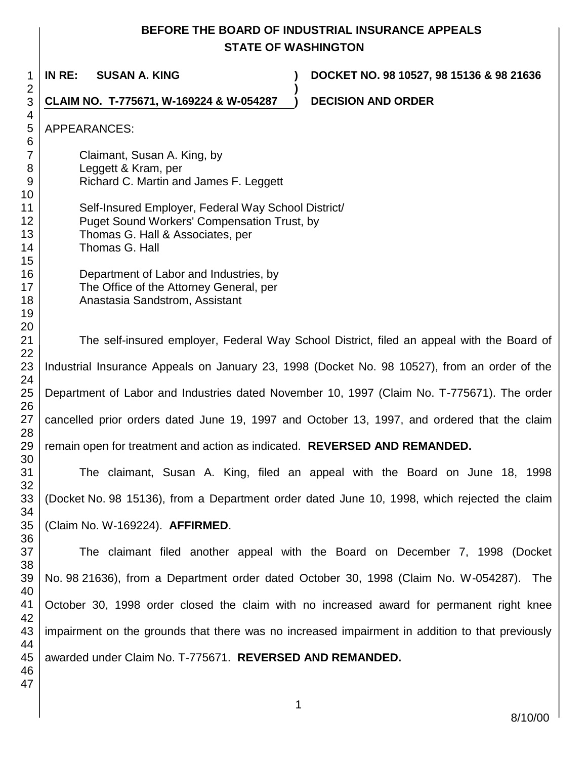## **BEFORE THE BOARD OF INDUSTRIAL INSURANCE APPEALS STATE OF WASHINGTON**

**)**

**IN RE: SUSAN A. KING ) DOCKET NO. 98 10527, 98 15136 & 98 21636**

**CLAIM NO. T-775671, W-169224 & W-054287 ) DECISION AND ORDER** 

APPEARANCES:

Claimant, Susan A. King, by Leggett & Kram, per Richard C. Martin and James F. Leggett

Self-Insured Employer, Federal Way School District/ Puget Sound Workers' Compensation Trust, by Thomas G. Hall & Associates, per Thomas G. Hall

Department of Labor and Industries, by The Office of the Attorney General, per Anastasia Sandstrom, Assistant

The self-insured employer, Federal Way School District, filed an appeal with the Board of Industrial Insurance Appeals on January 23, 1998 (Docket No. 98 10527), from an order of the Department of Labor and Industries dated November 10, 1997 (Claim No. T-775671). The order cancelled prior orders dated June 19, 1997 and October 13, 1997, and ordered that the claim remain open for treatment and action as indicated. **REVERSED AND REMANDED.**

The claimant, Susan A. King, filed an appeal with the Board on June 18, 1998 (Docket No. 98 15136), from a Department order dated June 10, 1998, which rejected the claim (Claim No. W-169224). **AFFIRMED**.

The claimant filed another appeal with the Board on December 7, 1998 (Docket No. 98 21636), from a Department order dated October 30, 1998 (Claim No. W-054287). The October 30, 1998 order closed the claim with no increased award for permanent right knee impairment on the grounds that there was no increased impairment in addition to that previously awarded under Claim No. T-775671. **REVERSED AND REMANDED.**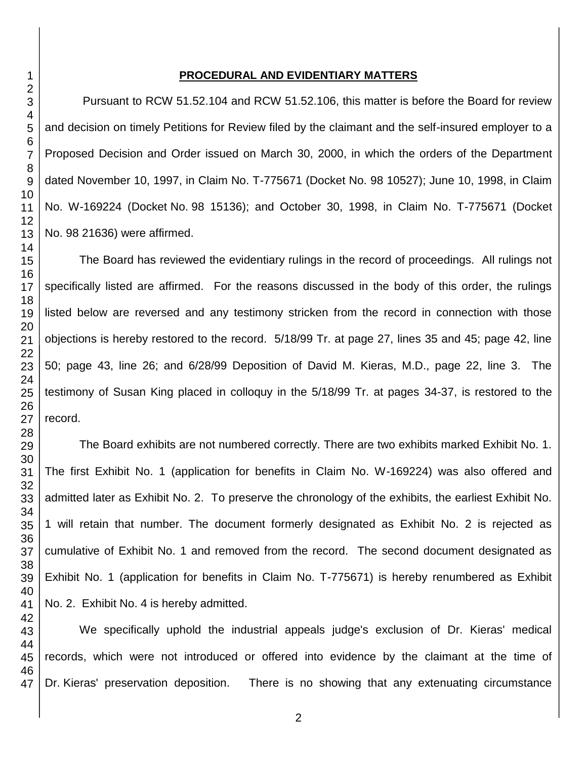### 

#### **PROCEDURAL AND EVIDENTIARY MATTERS**

Pursuant to RCW 51.52.104 and RCW 51.52.106, this matter is before the Board for review and decision on timely Petitions for Review filed by the claimant and the self-insured employer to a Proposed Decision and Order issued on March 30, 2000, in which the orders of the Department dated November 10, 1997, in Claim No. T-775671 (Docket No. 98 10527); June 10, 1998, in Claim No. W-169224 (Docket No. 98 15136); and October 30, 1998, in Claim No. T-775671 (Docket No. 98 21636) were affirmed.

The Board has reviewed the evidentiary rulings in the record of proceedings. All rulings not specifically listed are affirmed. For the reasons discussed in the body of this order, the rulings listed below are reversed and any testimony stricken from the record in connection with those objections is hereby restored to the record. 5/18/99 Tr. at page 27, lines 35 and 45; page 42, line 50; page 43, line 26; and 6/28/99 Deposition of David M. Kieras, M.D., page 22, line 3. The testimony of Susan King placed in colloquy in the 5/18/99 Tr. at pages 34-37, is restored to the record.

The Board exhibits are not numbered correctly. There are two exhibits marked Exhibit No. 1. The first Exhibit No. 1 (application for benefits in Claim No. W-169224) was also offered and admitted later as Exhibit No. 2. To preserve the chronology of the exhibits, the earliest Exhibit No. 1 will retain that number. The document formerly designated as Exhibit No. 2 is rejected as cumulative of Exhibit No. 1 and removed from the record. The second document designated as Exhibit No. 1 (application for benefits in Claim No. T-775671) is hereby renumbered as Exhibit No. 2. Exhibit No. 4 is hereby admitted.

We specifically uphold the industrial appeals judge's exclusion of Dr. Kieras' medical records, which were not introduced or offered into evidence by the claimant at the time of Dr. Kieras' preservation deposition. There is no showing that any extenuating circumstance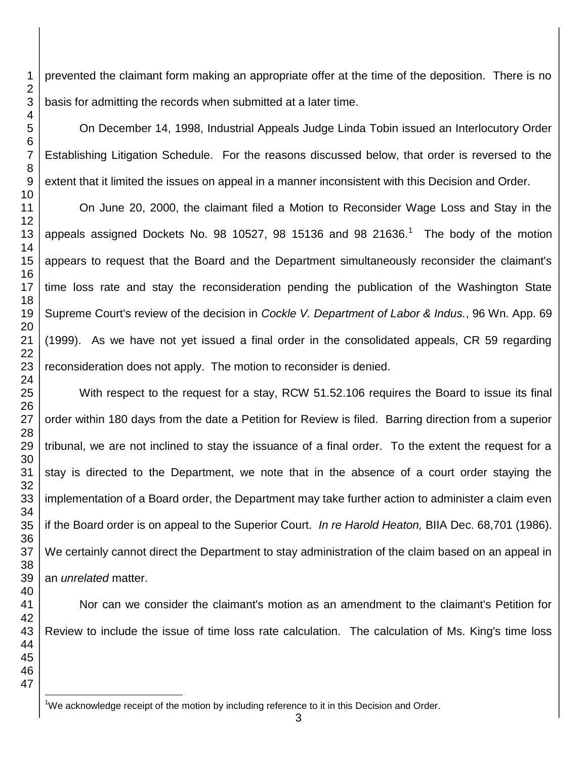prevented the claimant form making an appropriate offer at the time of the deposition. There is no basis for admitting the records when submitted at a later time.

On December 14, 1998, Industrial Appeals Judge Linda Tobin issued an Interlocutory Order Establishing Litigation Schedule. For the reasons discussed below, that order is reversed to the extent that it limited the issues on appeal in a manner inconsistent with this Decision and Order.

On June 20, 2000, the claimant filed a Motion to Reconsider Wage Loss and Stay in the appeals assigned Dockets No. 98 10527, 98 15136 and 98 21636.<sup>1</sup> The body of the motion appears to request that the Board and the Department simultaneously reconsider the claimant's time loss rate and stay the reconsideration pending the publication of the Washington State Supreme Court's review of the decision in *Cockle V. Department of Labor & Indus.*, 96 Wn. App. 69 (1999). As we have not yet issued a final order in the consolidated appeals, CR 59 regarding reconsideration does not apply. The motion to reconsider is denied.

With respect to the request for a stay, RCW 51.52.106 requires the Board to issue its final order within 180 days from the date a Petition for Review is filed. Barring direction from a superior tribunal, we are not inclined to stay the issuance of a final order. To the extent the request for a stay is directed to the Department, we note that in the absence of a court order staying the implementation of a Board order, the Department may take further action to administer a claim even if the Board order is on appeal to the Superior Court. *In re Harold Heaton,* BIIA Dec. 68,701 (1986). We certainly cannot direct the Department to stay administration of the claim based on an appeal in an *unrelated* matter.

Nor can we consider the claimant's motion as an amendment to the claimant's Petition for Review to include the issue of time loss rate calculation. The calculation of Ms. King's time loss

l We acknowledge receipt of the motion by including reference to it in this Decision and Order.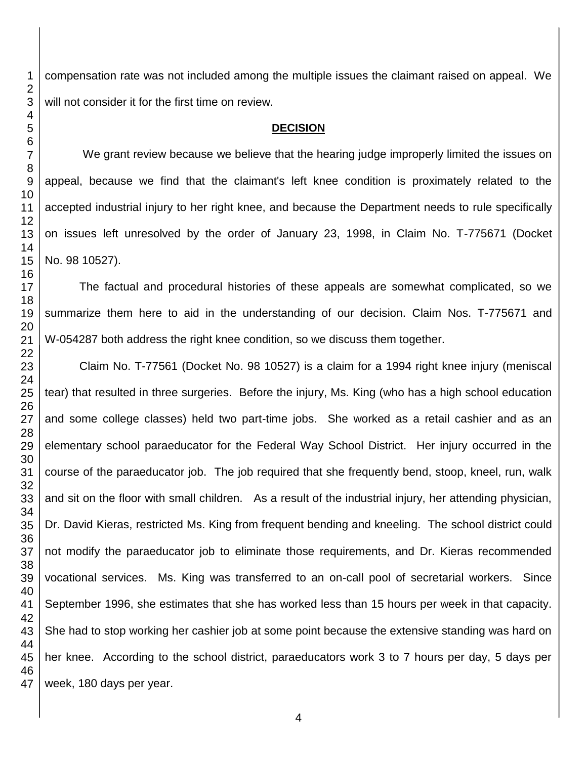compensation rate was not included among the multiple issues the claimant raised on appeal. We will not consider it for the first time on review.

#### **DECISION**

We grant review because we believe that the hearing judge improperly limited the issues on appeal, because we find that the claimant's left knee condition is proximately related to the accepted industrial injury to her right knee, and because the Department needs to rule specifically on issues left unresolved by the order of January 23, 1998, in Claim No. T-775671 (Docket No. 98 10527).

The factual and procedural histories of these appeals are somewhat complicated, so we summarize them here to aid in the understanding of our decision. Claim Nos. T-775671 and W-054287 both address the right knee condition, so we discuss them together.

Claim No. T-77561 (Docket No. 98 10527) is a claim for a 1994 right knee injury (meniscal tear) that resulted in three surgeries. Before the injury, Ms. King (who has a high school education and some college classes) held two part-time jobs. She worked as a retail cashier and as an elementary school paraeducator for the Federal Way School District. Her injury occurred in the course of the paraeducator job. The job required that she frequently bend, stoop, kneel, run, walk and sit on the floor with small children. As a result of the industrial injury, her attending physician, Dr. David Kieras, restricted Ms. King from frequent bending and kneeling. The school district could not modify the paraeducator job to eliminate those requirements, and Dr. Kieras recommended vocational services. Ms. King was transferred to an on-call pool of secretarial workers. Since September 1996, she estimates that she has worked less than 15 hours per week in that capacity. She had to stop working her cashier job at some point because the extensive standing was hard on her knee. According to the school district, paraeducators work 3 to 7 hours per day, 5 days per week, 180 days per year.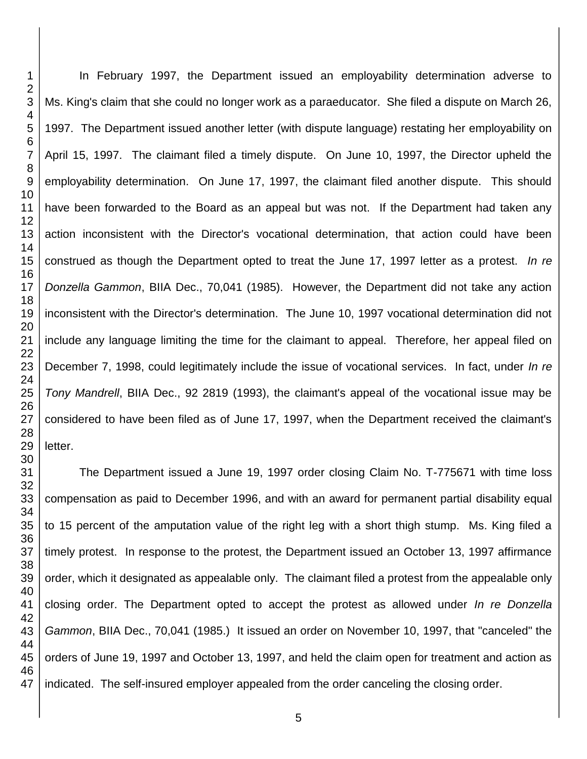In February 1997, the Department issued an employability determination adverse to Ms. King's claim that she could no longer work as a paraeducator. She filed a dispute on March 26, 1997. The Department issued another letter (with dispute language) restating her employability on April 15, 1997. The claimant filed a timely dispute. On June 10, 1997, the Director upheld the employability determination. On June 17, 1997, the claimant filed another dispute. This should have been forwarded to the Board as an appeal but was not. If the Department had taken any action inconsistent with the Director's vocational determination, that action could have been construed as though the Department opted to treat the June 17, 1997 letter as a protest. *In re Donzella Gammon*, BIIA Dec., 70,041 (1985). However, the Department did not take any action inconsistent with the Director's determination. The June 10, 1997 vocational determination did not include any language limiting the time for the claimant to appeal. Therefore, her appeal filed on December 7, 1998, could legitimately include the issue of vocational services. In fact, under *In re Tony Mandrell*, BIIA Dec., 92 2819 (1993), the claimant's appeal of the vocational issue may be considered to have been filed as of June 17, 1997, when the Department received the claimant's letter.

The Department issued a June 19, 1997 order closing Claim No. T-775671 with time loss compensation as paid to December 1996, and with an award for permanent partial disability equal to 15 percent of the amputation value of the right leg with a short thigh stump. Ms. King filed a timely protest. In response to the protest, the Department issued an October 13, 1997 affirmance order, which it designated as appealable only. The claimant filed a protest from the appealable only closing order. The Department opted to accept the protest as allowed under *In re Donzella Gammon*, BIIA Dec., 70,041 (1985.)It issued an order on November 10, 1997, that "canceled" the orders of June 19, 1997 and October 13, 1997, and held the claim open for treatment and action as indicated. The self-insured employer appealed from the order canceling the closing order.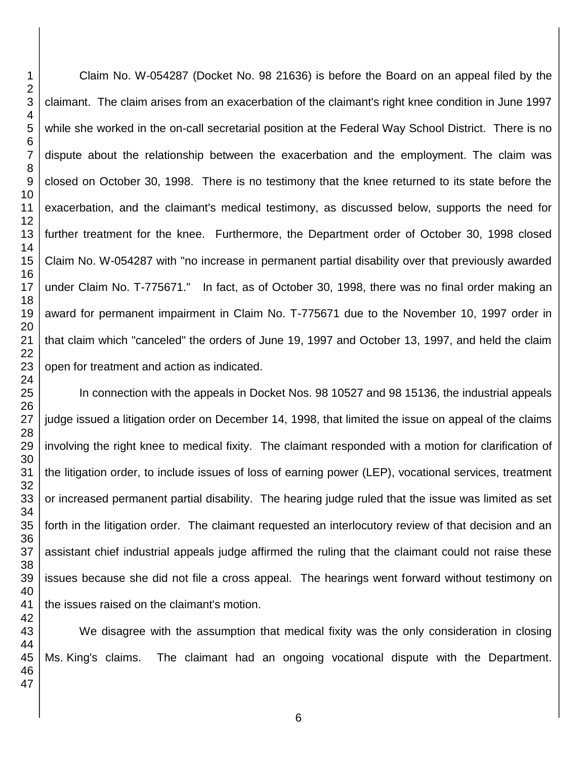Claim No. W-054287 (Docket No. 98 21636) is before the Board on an appeal filed by the claimant. The claim arises from an exacerbation of the claimant's right knee condition in June 1997 while she worked in the on-call secretarial position at the Federal Way School District. There is no dispute about the relationship between the exacerbation and the employment. The claim was closed on October 30, 1998. There is no testimony that the knee returned to its state before the exacerbation, and the claimant's medical testimony, as discussed below, supports the need for further treatment for the knee. Furthermore, the Department order of October 30, 1998 closed Claim No. W-054287 with "no increase in permanent partial disability over that previously awarded under Claim No. T-775671." In fact, as of October 30, 1998, there was no final order making an award for permanent impairment in Claim No. T-775671 due to the November 10, 1997 order in that claim which "canceled" the orders of June 19, 1997 and October 13, 1997, and held the claim open for treatment and action as indicated.

In connection with the appeals in Docket Nos. 98 10527 and 98 15136, the industrial appeals judge issued a litigation order on December 14, 1998, that limited the issue on appeal of the claims involving the right knee to medical fixity. The claimant responded with a motion for clarification of the litigation order, to include issues of loss of earning power (LEP), vocational services, treatment or increased permanent partial disability. The hearing judge ruled that the issue was limited as set forth in the litigation order. The claimant requested an interlocutory review of that decision and an assistant chief industrial appeals judge affirmed the ruling that the claimant could not raise these issues because she did not file a cross appeal. The hearings went forward without testimony on the issues raised on the claimant's motion.

We disagree with the assumption that medical fixity was the only consideration in closing Ms. King's claims. The claimant had an ongoing vocational dispute with the Department.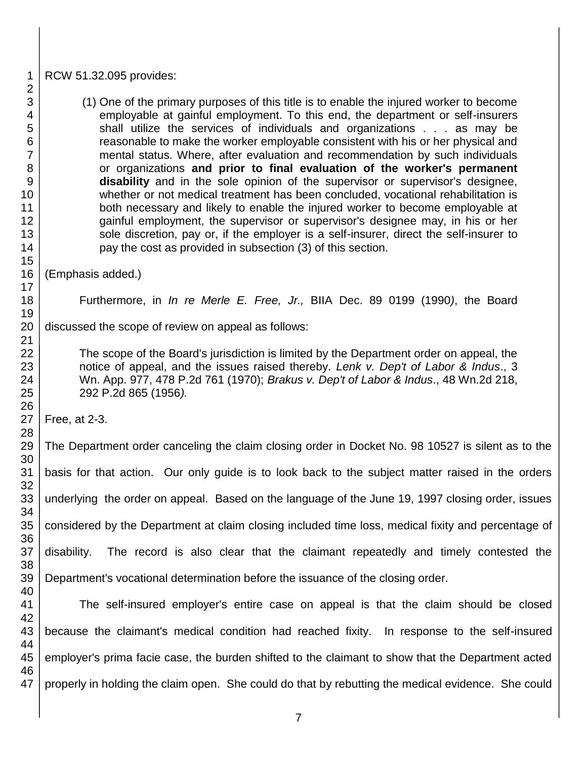#### RCW 51.32.095 provides:

(1) One of the primary purposes of this title is to enable the injured worker to become employable at gainful employment. To this end, the department or self-insurers shall utilize the services of individuals and organizations . . . as may be reasonable to make the worker employable consistent with his or her physical and mental status. Where, after evaluation and recommendation by such individuals or organizations **and prior to final evaluation of the worker's permanent disability** and in the sole opinion of the supervisor or supervisor's designee, whether or not medical treatment has been concluded, vocational rehabilitation is both necessary and likely to enable the injured worker to become employable at gainful employment, the supervisor or supervisor's designee may, in his or her sole discretion, pay or, if the employer is a self-insurer, direct the self-insurer to pay the cost as provided in subsection (3) of this section.

(Emphasis added.)

Furthermore, in *In re Merle E. Free, Jr.,* BIIA Dec. 89 0199 (1990*)*, the Board

discussed the scope of review on appeal as follows:

The scope of the Board's jurisdiction is limited by the Department order on appeal, the notice of appeal, and the issues raised thereby. *Lenk v. Dep't of Labor & Indus*., 3 Wn. App. 977, 478 P.2d 761 (1970); *Brakus v. Dep't of Labor & Indus*., 48 Wn.2d 218, 292 P.2d 865 (1956*).* 

Free, at 2-3.

 The Department order canceling the claim closing order in Docket No. 98 10527 is silent as to the basis for that action. Our only guide is to look back to the subject matter raised in the orders underlying the order on appeal. Based on the language of the June 19, 1997 closing order, issues considered by the Department at claim closing included time loss, medical fixity and percentage of disability. The record is also clear that the claimant repeatedly and timely contested the Department's vocational determination before the issuance of the closing order.

 The self-insured employer's entire case on appeal is that the claim should be closed because the claimant's medical condition had reached fixity. In response to the self-insured employer's prima facie case, the burden shifted to the claimant to show that the Department acted properly in holding the claim open. She could do that by rebutting the medical evidence. She could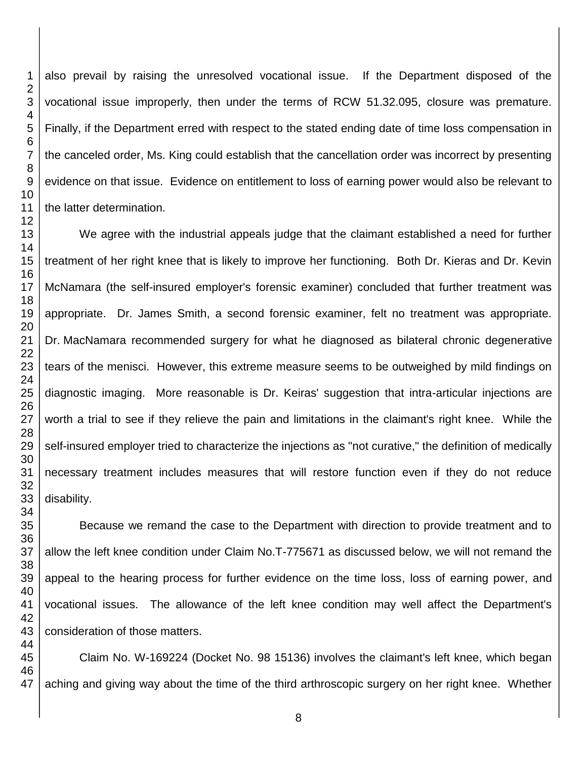also prevail by raising the unresolved vocational issue. If the Department disposed of the vocational issue improperly, then under the terms of RCW 51.32.095, closure was premature. Finally, if the Department erred with respect to the stated ending date of time loss compensation in the canceled order, Ms. King could establish that the cancellation order was incorrect by presenting evidence on that issue. Evidence on entitlement to loss of earning power would also be relevant to the latter determination.

We agree with the industrial appeals judge that the claimant established a need for further treatment of her right knee that is likely to improve her functioning. Both Dr. Kieras and Dr. Kevin McNamara (the self-insured employer's forensic examiner) concluded that further treatment was appropriate. Dr. James Smith, a second forensic examiner, felt no treatment was appropriate. Dr. MacNamara recommended surgery for what he diagnosed as bilateral chronic degenerative tears of the menisci. However, this extreme measure seems to be outweighed by mild findings on diagnostic imaging. More reasonable is Dr. Keiras' suggestion that intra-articular injections are worth a trial to see if they relieve the pain and limitations in the claimant's right knee. While the self-insured employer tried to characterize the injections as "not curative," the definition of medically necessary treatment includes measures that will restore function even if they do not reduce disability.

Because we remand the case to the Department with direction to provide treatment and to allow the left knee condition under Claim No.T-775671 as discussed below, we will not remand the appeal to the hearing process for further evidence on the time loss, loss of earning power, and vocational issues. The allowance of the left knee condition may well affect the Department's consideration of those matters.

 Claim No. W-169224 (Docket No. 98 15136) involves the claimant's left knee, which began aching and giving way about the time of the third arthroscopic surgery on her right knee. Whether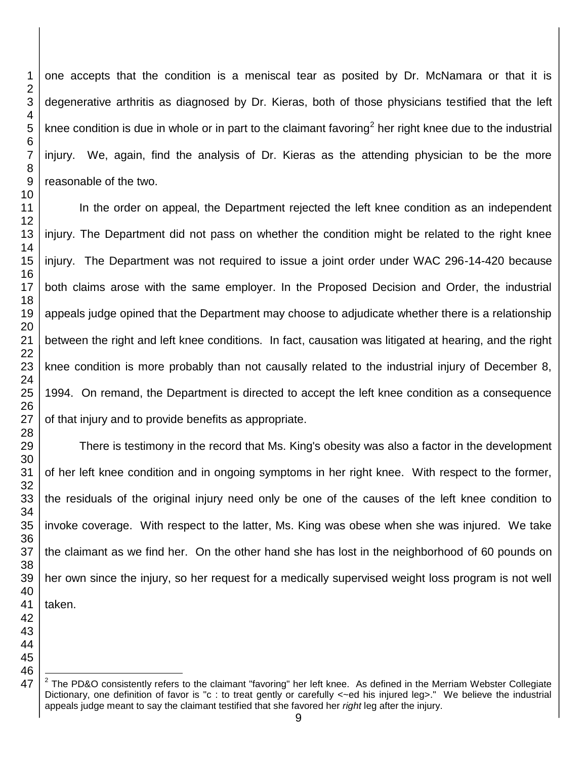one accepts that the condition is a meniscal tear as posited by Dr. McNamara or that it is degenerative arthritis as diagnosed by Dr. Kieras, both of those physicians testified that the left knee condition is due in whole or in part to the claimant favoring<sup>2</sup> her right knee due to the industrial injury. We, again, find the analysis of Dr. Kieras as the attending physician to be the more reasonable of the two.

In the order on appeal, the Department rejected the left knee condition as an independent injury. The Department did not pass on whether the condition might be related to the right knee injury. The Department was not required to issue a joint order under WAC 296-14-420 because both claims arose with the same employer. In the Proposed Decision and Order, the industrial appeals judge opined that the Department may choose to adjudicate whether there is a relationship between the right and left knee conditions. In fact, causation was litigated at hearing, and the right knee condition is more probably than not causally related to the industrial injury of December 8, 1994. On remand, the Department is directed to accept the left knee condition as a consequence of that injury and to provide benefits as appropriate.

There is testimony in the record that Ms. King's obesity was also a factor in the development of her left knee condition and in ongoing symptoms in her right knee. With respect to the former, the residuals of the original injury need only be one of the causes of the left knee condition to invoke coverage. With respect to the latter, Ms. King was obese when she was injured. We take the claimant as we find her. On the other hand she has lost in the neighborhood of 60 pounds on her own since the injury, so her request for a medically supervised weight loss program is not well taken.

l

 The PD&O consistently refers to the claimant "favoring" her left knee. As defined in the Merriam Webster Collegiate Dictionary, one definition of favor is "c : to treat gently or carefully < - ed his injured leg>." We believe the industrial appeals judge meant to say the claimant testified that she favored her *right* leg after the injury.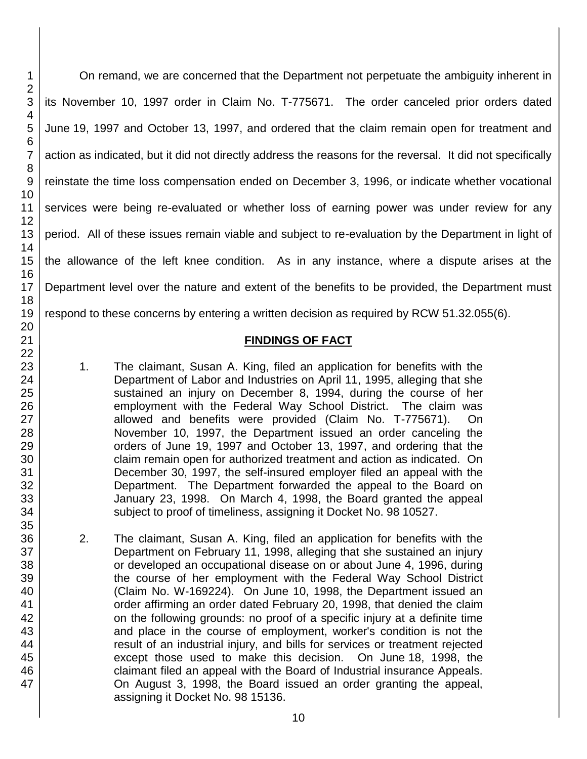On remand, we are concerned that the Department not perpetuate the ambiguity inherent in its November 10, 1997 order in Claim No. T-775671. The order canceled prior orders dated June 19, 1997 and October 13, 1997, and ordered that the claim remain open for treatment and action as indicated, but it did not directly address the reasons for the reversal. It did not specifically reinstate the time loss compensation ended on December 3, 1996, or indicate whether vocational services were being re-evaluated or whether loss of earning power was under review for any period. All of these issues remain viable and subject to re-evaluation by the Department in light of the allowance of the left knee condition. As in any instance, where a dispute arises at the Department level over the nature and extent of the benefits to be provided, the Department must respond to these concerns by entering a written decision as required by RCW 51.32.055(6).

### **FINDINGS OF FACT**

- 1. The claimant, Susan A. King, filed an application for benefits with the Department of Labor and Industries on April 11, 1995, alleging that she sustained an injury on December 8, 1994, during the course of her employment with the Federal Way School District. The claim was allowed and benefits were provided (Claim No. T-775671). On November 10, 1997, the Department issued an order canceling the orders of June 19, 1997 and October 13, 1997, and ordering that the claim remain open for authorized treatment and action as indicated. On December 30, 1997, the self-insured employer filed an appeal with the Department. The Department forwarded the appeal to the Board on January 23, 1998. On March 4, 1998, the Board granted the appeal subject to proof of timeliness, assigning it Docket No. 98 10527.
- 2. The claimant, Susan A. King, filed an application for benefits with the Department on February 11, 1998, alleging that she sustained an injury or developed an occupational disease on or about June 4, 1996, during the course of her employment with the Federal Way School District (Claim No. W-169224). On June 10, 1998, the Department issued an order affirming an order dated February 20, 1998, that denied the claim on the following grounds: no proof of a specific injury at a definite time and place in the course of employment, worker's condition is not the result of an industrial injury, and bills for services or treatment rejected except those used to make this decision. On June 18, 1998, the claimant filed an appeal with the Board of Industrial insurance Appeals. On August 3, 1998, the Board issued an order granting the appeal, assigning it Docket No. 98 15136.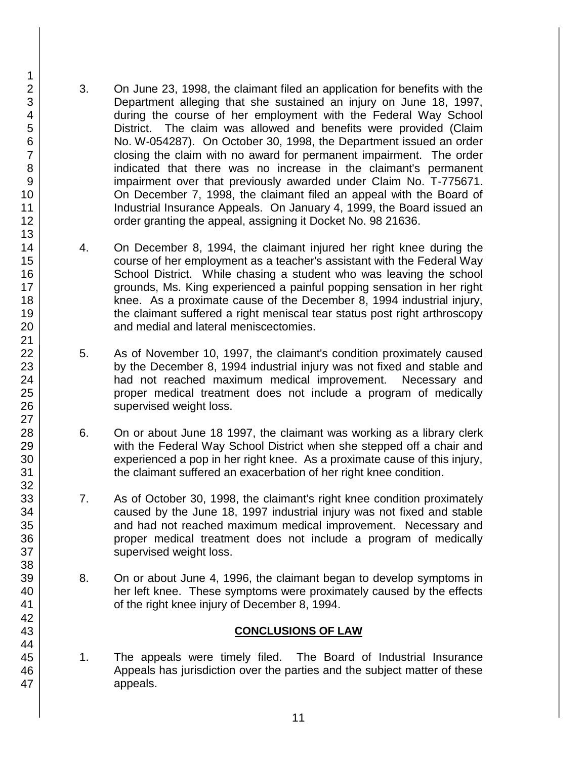- 3. On June 23, 1998, the claimant filed an application for benefits with the Department alleging that she sustained an injury on June 18, 1997, during the course of her employment with the Federal Way School District. The claim was allowed and benefits were provided (Claim No. W-054287). On October 30, 1998, the Department issued an order closing the claim with no award for permanent impairment. The order indicated that there was no increase in the claimant's permanent impairment over that previously awarded under Claim No. T-775671. On December 7, 1998, the claimant filed an appeal with the Board of Industrial Insurance Appeals. On January 4, 1999, the Board issued an order granting the appeal, assigning it Docket No. 98 21636.
- 4. On December 8, 1994, the claimant injured her right knee during the course of her employment as a teacher's assistant with the Federal Way School District. While chasing a student who was leaving the school grounds, Ms. King experienced a painful popping sensation in her right knee. As a proximate cause of the December 8, 1994 industrial injury, the claimant suffered a right meniscal tear status post right arthroscopy and medial and lateral meniscectomies.
- 5. As of November 10, 1997, the claimant's condition proximately caused by the December 8, 1994 industrial injury was not fixed and stable and had not reached maximum medical improvement. Necessary and proper medical treatment does not include a program of medically supervised weight loss.
- 6. On or about June 18 1997, the claimant was working as a library clerk with the Federal Way School District when she stepped off a chair and experienced a pop in her right knee. As a proximate cause of this injury, the claimant suffered an exacerbation of her right knee condition.
- 7. As of October 30, 1998, the claimant's right knee condition proximately caused by the June 18, 1997 industrial injury was not fixed and stable and had not reached maximum medical improvement. Necessary and proper medical treatment does not include a program of medically supervised weight loss.
- 8. On or about June 4, 1996, the claimant began to develop symptoms in her left knee. These symptoms were proximately caused by the effects of the right knee injury of December 8, 1994.

### **CONCLUSIONS OF LAW**

1. The appeals were timely filed. The Board of Industrial Insurance Appeals has jurisdiction over the parties and the subject matter of these appeals.